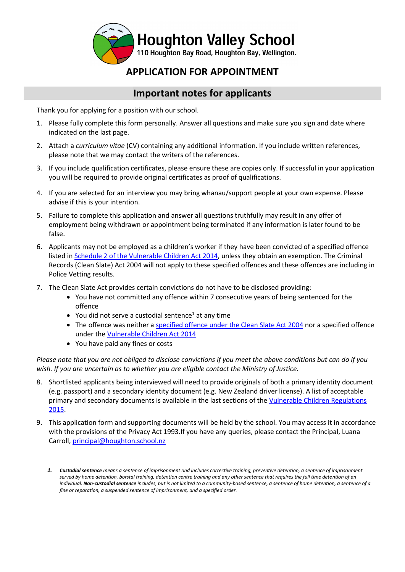

# **APPLICATION FOR APPOINTMENT**

## **Important notes for applicants**

Thank you for applying for a position with our school.

- 1. Please fully complete this form personally. Answer all questions and make sure you sign and date where indicated on the last page.
- 2. Attach a *curriculum vitae* (CV) containing any additional information. If you include written references, please note that we may contact the writers of the references.
- 3. If you include qualification certificates, please ensure these are copies only. If successful in your application you will be required to provide original certificates as proof of qualifications.
- 4. If you are selected for an interview you may bring whanau/support people at your own expense. Please advise if this is your intention.
- 5. Failure to complete this application and answer all questions truthfully may result in any offer of employment being withdrawn or appointment being terminated if any information is later found to be false.
- 6. Applicants may not be employed as a children's worker if they have been convicted of a specified offence listed in [Schedule 2 of the Vulnerable Children Act 2014,](http://www.legislation.govt.nz/act/public/2014/0040/latest/DLM5501909.html) unless they obtain an exemption. The Criminal Records (Clean Slate) Act 2004 will not apply to these specified offences and these offences are including in Police Vetting results.
- 7. The Clean Slate Act provides certain convictions do not have to be disclosed providing:
	- You have not committed any offence within 7 consecutive years of being sentenced for the offence
	- $\bullet$  You did not serve a custodial sentence<sup>1</sup> at any time
	- The offence was neither a [specified offence under the Clean Slate Act 2004](http://www.legislation.govt.nz/act/public/2004/0036/latest/DLM280848.html) nor a specified offence under th[e Vulnerable Children Act 2014](http://www.legislation.govt.nz/act/public/2014/0040/latest/DLM5501909.html)
	- You have paid any fines or costs

*Please note that you are not obliged to disclose convictions if you meet the above conditions but can do if you wish. If you are uncertain as to whether you are eligible contact the Ministry of Justice.* 

- 8. Shortlisted applicants being interviewed will need to provide originals of both a primary identity document (e.g. passport) and a secondary identity document (e.g. New Zealand driver license). A list of acceptable primary and secondary documents is available in the last sections of th[e Vulnerable Children Regulations](http://www.legislation.govt.nz/regulation/public/2015/0106/latest/whole.html#DLM6482207)  [2015.](http://www.legislation.govt.nz/regulation/public/2015/0106/latest/whole.html#DLM6482207)
- 9. This application form and supporting documents will be held by the school. You may access it in accordance with the provisions of the Privacy Act 1993.If you have any queries, please contact the Principal, Luana Carroll, [principal@houghton.school.nz](mailto:principal@houghton.school.nz)

*<sup>1.</sup> Custodial sentence means a sentence of imprisonment and includes corrective training, preventive detention, a sentence of imprisonment served by home detention, borstal training, detention centre training and any other sentence that requires the full time detention of an individual. Non-custodial sentence includes, but is not limited to a community-based sentence, a sentence of home detention, a sentence of a fine or reparation, a suspended sentence of imprisonment, and a specified order.*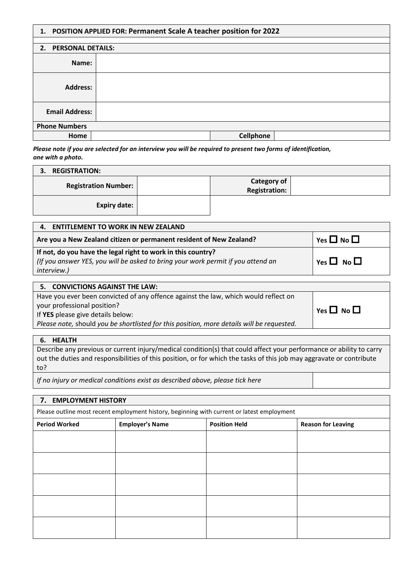|  |  |  |  | 1. POSITION APPLIED FOR: Permanent Scale A teacher position for 2022 |
|--|--|--|--|----------------------------------------------------------------------|
|--|--|--|--|----------------------------------------------------------------------|

|                       | 2. PERSONAL DETAILS: |           |  |  |
|-----------------------|----------------------|-----------|--|--|
| Name:                 |                      |           |  |  |
| <b>Address:</b>       |                      |           |  |  |
| <b>Email Address:</b> |                      |           |  |  |
| <b>Phone Numbers</b>  |                      |           |  |  |
| Home                  |                      | Cellphone |  |  |

*Please note if you are selected for an interview you will be required to present two forms of identification, one with a photo.* 

| <b>REGISTRATION:</b><br>З.                      |                                            |
|-------------------------------------------------|--------------------------------------------|
| <b>Registration Number:</b>                     | <b>Category of</b><br><b>Registration:</b> |
| <b>Expiry date:</b>                             |                                            |
| <b>ENTITLEMENT TO WORK IN NEW ZEALAND</b><br>4. |                                            |

| Are you a New Zealand citizen or permanent resident of New Zealand?                                                                                                    | Yes $\square$ No $\square$ |
|------------------------------------------------------------------------------------------------------------------------------------------------------------------------|----------------------------|
| If not, do you have the legal right to work in this country?<br>(If you answer YES, you will be asked to bring your work permit if you attend an<br><i>interview.)</i> | Yes $\Box$ No $\Box$       |
|                                                                                                                                                                        |                            |

| 5. CONVICTIONS AGAINST THE LAW:                                                           |                      |
|-------------------------------------------------------------------------------------------|----------------------|
| Have you ever been convicted of any offence against the law, which would reflect on       |                      |
| your professional position?                                                               | Yes $\Box$ No $\Box$ |
| If YES please give details below:                                                         |                      |
| Please note, should you be shortlisted for this position, more details will be requested. |                      |
|                                                                                           |                      |

### **6. HEALTH**

Describe any previous or current injury/medical condition(s) that could affect your performance or ability to carry out the duties and responsibilities of this position, or for which the tasks of this job may aggravate or contribute to?

*If no injury or medical conditions exist as described above, please tick here*

| 7. EMPLOYMENT HISTORY |                                                                                            |  |  |  |  |
|-----------------------|--------------------------------------------------------------------------------------------|--|--|--|--|
|                       | Please outline most recent employment history, beginning with current or latest employment |  |  |  |  |
| <b>Period Worked</b>  | <b>Employer's Name</b><br><b>Position Held</b><br><b>Reason for Leaving</b>                |  |  |  |  |
|                       |                                                                                            |  |  |  |  |
|                       |                                                                                            |  |  |  |  |
|                       |                                                                                            |  |  |  |  |
|                       |                                                                                            |  |  |  |  |
|                       |                                                                                            |  |  |  |  |
|                       |                                                                                            |  |  |  |  |
|                       |                                                                                            |  |  |  |  |
|                       |                                                                                            |  |  |  |  |
|                       |                                                                                            |  |  |  |  |
|                       |                                                                                            |  |  |  |  |